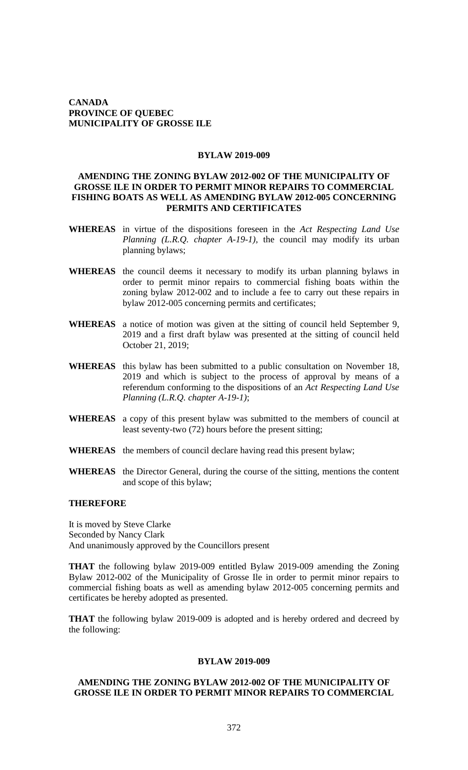### **CANADA PROVINCE OF QUEBEC MUNICIPALITY OF GROSSE ILE**

### **BYLAW 2019-009**

### **AMENDING THE ZONING BYLAW 2012-002 OF THE MUNICIPALITY OF GROSSE ILE IN ORDER TO PERMIT MINOR REPAIRS TO COMMERCIAL FISHING BOATS AS WELL AS AMENDING BYLAW 2012-005 CONCERNING PERMITS AND CERTIFICATES**

- **WHEREAS** in virtue of the dispositions foreseen in the *Act Respecting Land Use Planning (L.R.Q. chapter A-19-1), the council may modify its urban* planning bylaws;
- **WHEREAS** the council deems it necessary to modify its urban planning bylaws in order to permit minor repairs to commercial fishing boats within the zoning bylaw 2012-002 and to include a fee to carry out these repairs in bylaw 2012-005 concerning permits and certificates;
- **WHEREAS** a notice of motion was given at the sitting of council held September 9, 2019 and a first draft bylaw was presented at the sitting of council held October 21, 2019;
- **WHEREAS** this bylaw has been submitted to a public consultation on November 18, 2019 and which is subject to the process of approval by means of a referendum conforming to the dispositions of an *Act Respecting Land Use Planning (L.R.Q. chapter A-19-1)*;
- **WHEREAS** a copy of this present bylaw was submitted to the members of council at least seventy-two (72) hours before the present sitting;
- **WHEREAS** the members of council declare having read this present bylaw;
- **WHEREAS** the Director General, during the course of the sitting, mentions the content and scope of this bylaw;

#### **THEREFORE**

It is moved by Steve Clarke Seconded by Nancy Clark And unanimously approved by the Councillors present

**THAT** the following bylaw 2019-009 entitled Bylaw 2019-009 amending the Zoning Bylaw 2012-002 of the Municipality of Grosse Ile in order to permit minor repairs to commercial fishing boats as well as amending bylaw 2012-005 concerning permits and certificates be hereby adopted as presented.

**THAT** the following bylaw 2019-009 is adopted and is hereby ordered and decreed by the following:

# **BYLAW 2019-009**

## **AMENDING THE ZONING BYLAW 2012-002 OF THE MUNICIPALITY OF GROSSE ILE IN ORDER TO PERMIT MINOR REPAIRS TO COMMERCIAL**